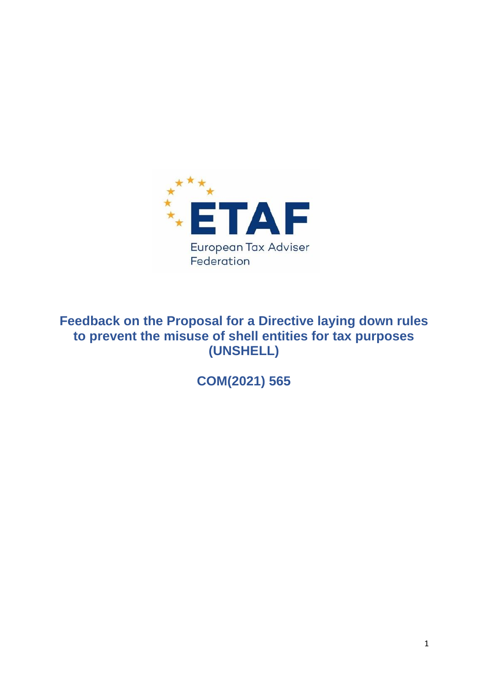

# **Feedback on the Proposal for a Directive laying down rules to prevent the misuse of shell entities for tax purposes (UNSHELL)**

**COM(2021) 565**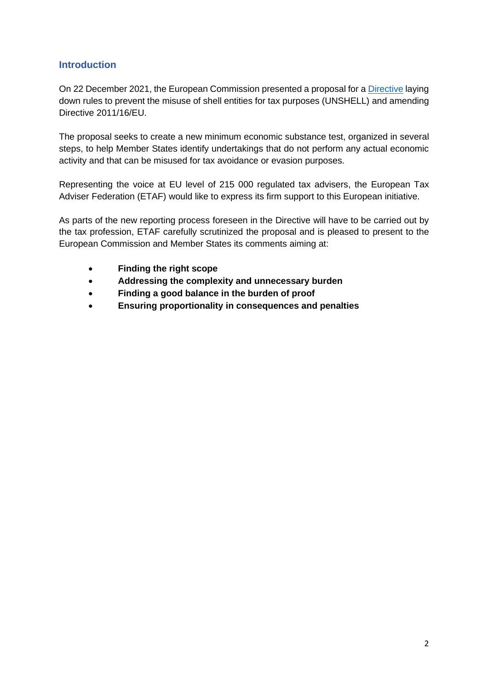## **Introduction**

On 22 December 2021, the European Commission presented a proposal for a [Directive](https://ec.europa.eu/taxation_customs/system/files/2021-12/COM_2021_565_1_EN_ACT_part1_v7.pdf) laying down rules to prevent the misuse of shell entities for tax purposes (UNSHELL) and amending Directive 2011/16/EU.

The proposal seeks to create a new minimum economic substance test, organized in several steps, to help Member States identify undertakings that do not perform any actual economic activity and that can be misused for tax avoidance or evasion purposes.

Representing the voice at EU level of 215 000 regulated tax advisers, the European Tax Adviser Federation (ETAF) would like to express its firm support to this European initiative.

As parts of the new reporting process foreseen in the Directive will have to be carried out by the tax profession, ETAF carefully scrutinized the proposal and is pleased to present to the European Commission and Member States its comments aiming at:

- **Finding the right scope**
- **Addressing the complexity and unnecessary burden**
- **Finding a good balance in the burden of proof**
- **Ensuring proportionality in consequences and penalties**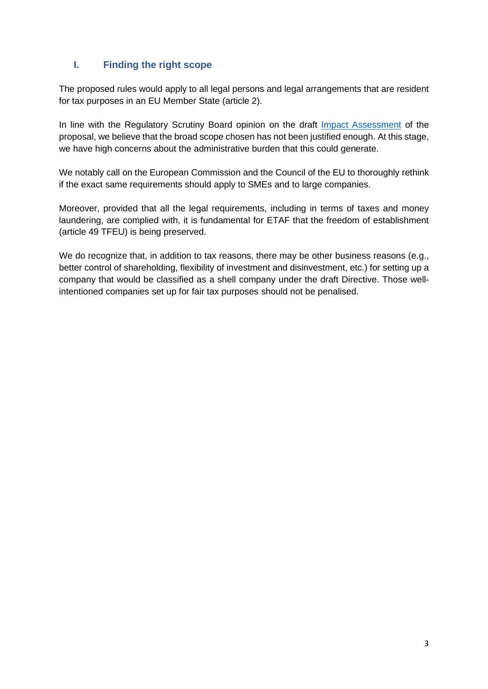# **I. Finding the right scope**

The proposed rules would apply to all legal persons and legal arrangements that are resident for tax purposes in an EU Member State (article 2).

In line with the Regulatory Scrutiny Board opinion on the draft [Impact Assessment](https://ec.europa.eu/taxation_customs/system/files/2021-12/Impact%20Assessment%20-%20Council%20Directive%20laying%20down%20rules%20to%20prevent%20the%20misuse%20of%20shell%20entities%20for%20tax%20purposes%20%28UNSHELL%29.pdf) of the proposal, we believe that the broad scope chosen has not been justified enough. At this stage, we have high concerns about the administrative burden that this could generate.

We notably call on the European Commission and the Council of the EU to thoroughly rethink if the exact same requirements should apply to SMEs and to large companies.

Moreover, provided that all the legal requirements, including in terms of taxes and money laundering, are complied with, it is fundamental for ETAF that the freedom of establishment (article 49 TFEU) is being preserved.

We do recognize that, in addition to tax reasons, there may be other business reasons (e.g., better control of shareholding, flexibility of investment and disinvestment, etc.) for setting up a company that would be classified as a shell company under the draft Directive. Those wellintentioned companies set up for fair tax purposes should not be penalised.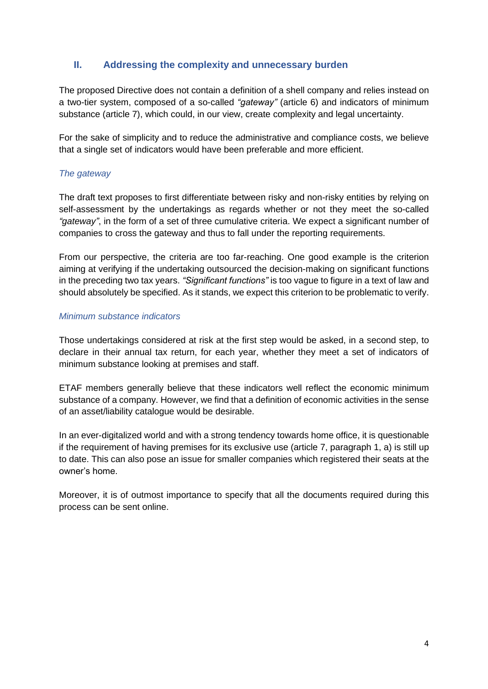## **II. Addressing the complexity and unnecessary burden**

The proposed Directive does not contain a definition of a shell company and relies instead on a two-tier system, composed of a so-called *"gateway"* (article 6) and indicators of minimum substance (article 7), which could, in our view, create complexity and legal uncertainty.

For the sake of simplicity and to reduce the administrative and compliance costs, we believe that a single set of indicators would have been preferable and more efficient.

## *The gateway*

The draft text proposes to first differentiate between risky and non-risky entities by relying on self-assessment by the undertakings as regards whether or not they meet the so-called *"gateway"*, in the form of a set of three cumulative criteria. We expect a significant number of companies to cross the gateway and thus to fall under the reporting requirements.

From our perspective, the criteria are too far-reaching. One good example is the criterion aiming at verifying if the undertaking outsourced the decision-making on significant functions in the preceding two tax years. *"Significant functions"* is too vague to figure in a text of law and should absolutely be specified. As it stands, we expect this criterion to be problematic to verify.

#### *Minimum substance indicators*

Those undertakings considered at risk at the first step would be asked, in a second step, to declare in their annual tax return, for each year, whether they meet a set of indicators of minimum substance looking at premises and staff.

ETAF members generally believe that these indicators well reflect the economic minimum substance of a company. However, we find that a definition of economic activities in the sense of an asset/liability catalogue would be desirable.

In an ever-digitalized world and with a strong tendency towards home office, it is questionable if the requirement of having premises for its exclusive use (article 7, paragraph 1, a) is still up to date. This can also pose an issue for smaller companies which registered their seats at the owner's home.

Moreover, it is of outmost importance to specify that all the documents required during this process can be sent online.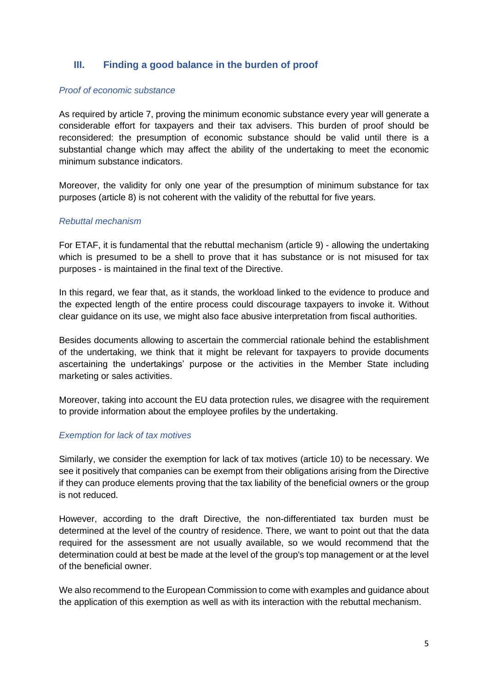## **III. Finding a good balance in the burden of proof**

#### *Proof of economic substance*

As required by article 7, proving the minimum economic substance every year will generate a considerable effort for taxpayers and their tax advisers. This burden of proof should be reconsidered: the presumption of economic substance should be valid until there is a substantial change which may affect the ability of the undertaking to meet the economic minimum substance indicators.

Moreover, the validity for only one year of the presumption of minimum substance for tax purposes (article 8) is not coherent with the validity of the rebuttal for five years.

#### *Rebuttal mechanism*

For ETAF, it is fundamental that the rebuttal mechanism (article 9) - allowing the undertaking which is presumed to be a shell to prove that it has substance or is not misused for tax purposes - is maintained in the final text of the Directive.

In this regard, we fear that, as it stands, the workload linked to the evidence to produce and the expected length of the entire process could discourage taxpayers to invoke it. Without clear guidance on its use, we might also face abusive interpretation from fiscal authorities.

Besides documents allowing to ascertain the commercial rationale behind the establishment of the undertaking, we think that it might be relevant for taxpayers to provide documents ascertaining the undertakings' purpose or the activities in the Member State including marketing or sales activities.

Moreover, taking into account the EU data protection rules, we disagree with the requirement to provide information about the employee profiles by the undertaking.

#### *Exemption for lack of tax motives*

Similarly, we consider the exemption for lack of tax motives (article 10) to be necessary. We see it positively that companies can be exempt from their obligations arising from the Directive if they can produce elements proving that the tax liability of the beneficial owners or the group is not reduced.

However, according to the draft Directive, the non-differentiated tax burden must be determined at the level of the country of residence. There, we want to point out that the data required for the assessment are not usually available, so we would recommend that the determination could at best be made at the level of the group's top management or at the level of the beneficial owner.

We also recommend to the European Commission to come with examples and guidance about the application of this exemption as well as with its interaction with the rebuttal mechanism.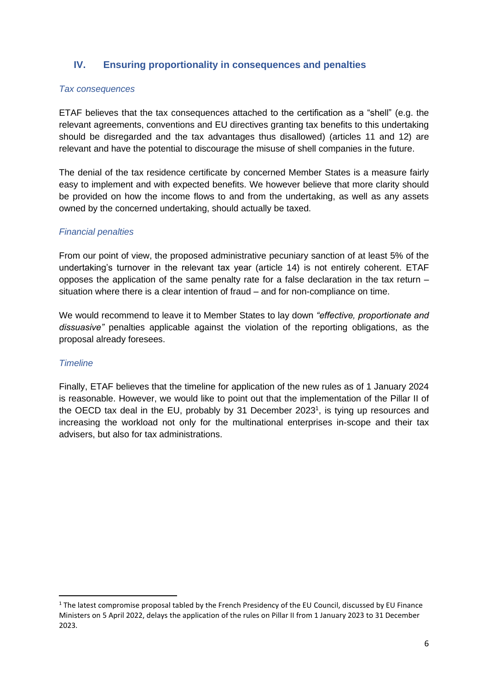## **IV. Ensuring proportionality in consequences and penalties**

#### *Tax consequences*

ETAF believes that the tax consequences attached to the certification as a "shell" (e.g. the relevant agreements, conventions and EU directives granting tax benefits to this undertaking should be disregarded and the tax advantages thus disallowed) (articles 11 and 12) are relevant and have the potential to discourage the misuse of shell companies in the future.

The denial of the tax residence certificate by concerned Member States is a measure fairly easy to implement and with expected benefits. We however believe that more clarity should be provided on how the income flows to and from the undertaking, as well as any assets owned by the concerned undertaking, should actually be taxed.

## *Financial penalties*

From our point of view, the proposed administrative pecuniary sanction of at least 5% of the undertaking's turnover in the relevant tax year (article 14) is not entirely coherent. ETAF opposes the application of the same penalty rate for a false declaration in the tax return – situation where there is a clear intention of fraud – and for non-compliance on time.

We would recommend to leave it to Member States to lay down *"effective, proportionate and dissuasive"* penalties applicable against the violation of the reporting obligations, as the proposal already foresees.

#### *Timeline*

Finally, ETAF believes that the timeline for application of the new rules as of 1 January 2024 is reasonable. However, we would like to point out that the implementation of the Pillar II of the OECD tax deal in the EU, probably by 31 December 2023<sup>1</sup>, is tying up resources and increasing the workload not only for the multinational enterprises in-scope and their tax advisers, but also for tax administrations.

 $1$  The latest compromise proposal tabled by the French Presidency of the EU Council, discussed by EU Finance Ministers on 5 April 2022, delays the application of the rules on Pillar II from 1 January 2023 to 31 December 2023.